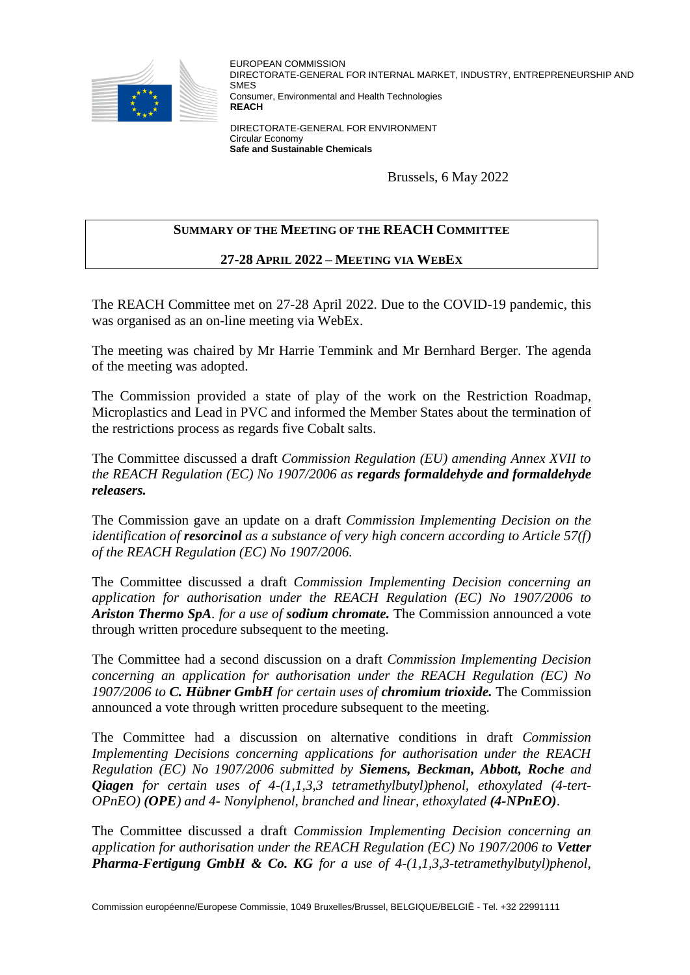

EUROPEAN COMMISSION DIRECTORATE-GENERAL FOR INTERNAL MARKET, INDUSTRY, ENTREPRENEURSHIP AND **SM<sub>E</sub>S** Consumer, Environmental and Health Technologies **REACH**

DIRECTORATE-GENERAL FOR ENVIRONMENT Circular Economy **Safe and Sustainable Chemicals**

Brussels, 6 May 2022

## **SUMMARY OF THE MEETING OF THE REACH COMMITTEE**

## **27-28 APRIL 2022 – MEETING VIA WEBEX**

The REACH Committee met on 27-28 April 2022. Due to the COVID-19 pandemic, this was organised as an on-line meeting via WebEx.

The meeting was chaired by Mr Harrie Temmink and Mr Bernhard Berger. The agenda of the meeting was adopted.

The Commission provided a state of play of the work on the Restriction Roadmap, Microplastics and Lead in PVC and informed the Member States about the termination of the restrictions process as regards five Cobalt salts.

The Committee discussed a draft *Commission Regulation (EU) amending Annex XVII to the REACH Regulation (EC) No 1907/2006 as regards formaldehyde and formaldehyde releasers.*

The Commission gave an update on a draft *Commission Implementing Decision on the identification of resorcinol as a substance of very high concern according to Article 57(f) of the REACH Regulation (EC) No 1907/2006.*

The Committee discussed a draft *Commission Implementing Decision concerning an application for authorisation under the REACH Regulation (EC) No 1907/2006 to Ariston Thermo SpA. for a use of sodium chromate.* The Commission announced a vote through written procedure subsequent to the meeting.

The Committee had a second discussion on a draft *Commission Implementing Decision concerning an application for authorisation under the REACH Regulation (EC) No 1907/2006 to C. Hübner GmbH for certain uses of chromium trioxide.* The Commission announced a vote through written procedure subsequent to the meeting.

The Committee had a discussion on alternative conditions in draft *Commission Implementing Decisions concerning applications for authorisation under the REACH Regulation (EC) No 1907/2006 submitted by Siemens, Beckman, Abbott, Roche and Qiagen for certain uses of 4-(1,1,3,3 tetramethylbutyl)phenol, ethoxylated (4-tert-OPnEO) (OPE) and 4- Nonylphenol, branched and linear, ethoxylated (4-NPnEO)*.

The Committee discussed a draft *Commission Implementing Decision concerning an application for authorisation under the REACH Regulation (EC) No 1907/2006 to Vetter Pharma-Fertigung GmbH & Co. KG for a use of 4-(1,1,3,3-tetramethylbutyl)phenol,*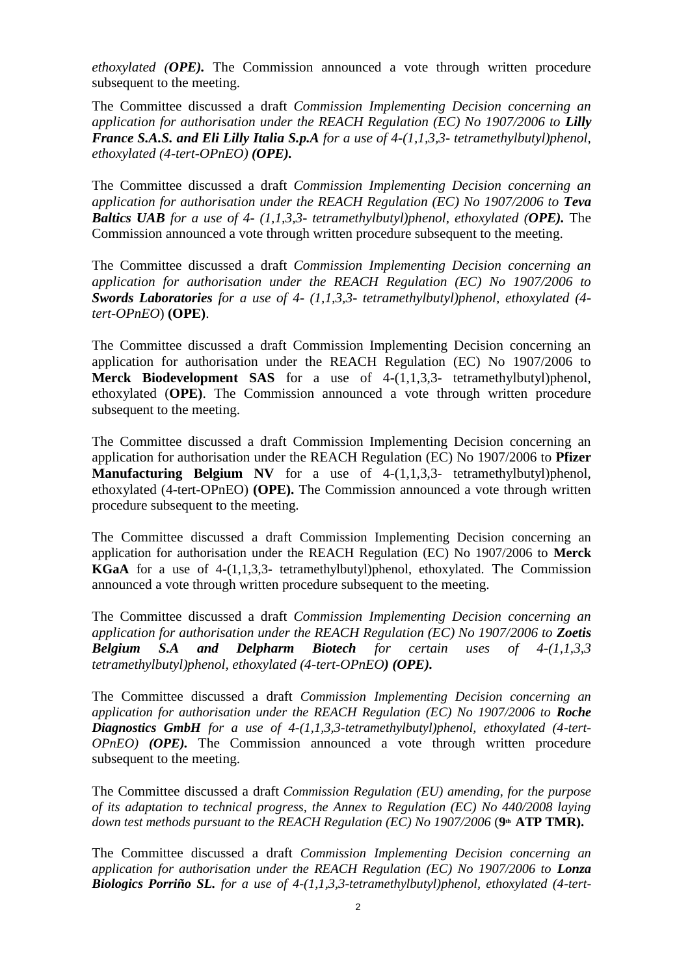*ethoxylated (OPE).* The Commission announced a vote through written procedure subsequent to the meeting.

The Committee discussed a draft *Commission Implementing Decision concerning an application for authorisation under the REACH Regulation (EC) No 1907/2006 to Lilly France S.A.S. and Eli Lilly Italia S.p.A for a use of 4-(1,1,3,3- tetramethylbutyl)phenol, ethoxylated (4-tert-OPnEO) (OPE).*

The Committee discussed a draft *Commission Implementing Decision concerning an application for authorisation under the REACH Regulation (EC) No 1907/2006 to Teva Baltics UAB for a use of 4- (1,1,3,3- tetramethylbutyl)phenol, ethoxylated (OPE).* The Commission announced a vote through written procedure subsequent to the meeting.

The Committee discussed a draft *Commission Implementing Decision concerning an application for authorisation under the REACH Regulation (EC) No 1907/2006 to Swords Laboratories for a use of 4- (1,1,3,3- tetramethylbutyl)phenol, ethoxylated (4 tert-OPnEO*) **(OPE)**.

The Committee discussed a draft Commission Implementing Decision concerning an application for authorisation under the REACH Regulation (EC) No 1907/2006 to **Merck Biodevelopment SAS** for a use of 4-(1,1,3,3- tetramethylbutyl)phenol, ethoxylated (**OPE)**. The Commission announced a vote through written procedure subsequent to the meeting.

The Committee discussed a draft Commission Implementing Decision concerning an application for authorisation under the REACH Regulation (EC) No 1907/2006 to **Pfizer Manufacturing Belgium NV** for a use of 4-(1,1,3,3- tetramethylbutyl)phenol, ethoxylated (4-tert-OPnEO) **(OPE).** The Commission announced a vote through written procedure subsequent to the meeting.

The Committee discussed a draft Commission Implementing Decision concerning an application for authorisation under the REACH Regulation (EC) No 1907/2006 to **Merck KGaA** for a use of 4-(1,1,3,3- tetramethylbutyl)phenol, ethoxylated. The Commission announced a vote through written procedure subsequent to the meeting.

The Committee discussed a draft *Commission Implementing Decision concerning an application for authorisation under the REACH Regulation (EC) No 1907/2006 to Zoetis Belgium S.A and Delpharm Biotech for certain uses of 4-(1,1,3,3 tetramethylbutyl)phenol, ethoxylated (4-tert-OPnEO) (OPE).* 

The Committee discussed a draft *Commission Implementing Decision concerning an application for authorisation under the REACH Regulation (EC) No 1907/2006 to Roche Diagnostics GmbH for a use of 4-(1,1,3,3-tetramethylbutyl)phenol, ethoxylated (4-tert-OPnEO) (OPE).* The Commission announced a vote through written procedure subsequent to the meeting.

The Committee discussed a draft *Commission Regulation (EU) amending, for the purpose of its adaptation to technical progress, the Annex to Regulation (EC) No 440/2008 laying down test methods pursuant to the REACH Regulation (EC) No 1907/2006* (9<sup>th</sup> ATP TMR).

The Committee discussed a draft *Commission Implementing Decision concerning an application for authorisation under the REACH Regulation (EC) No 1907/2006 to Lonza Biologics Porriño SL. for a use of 4-(1,1,3,3-tetramethylbutyl)phenol, ethoxylated (4-tert-*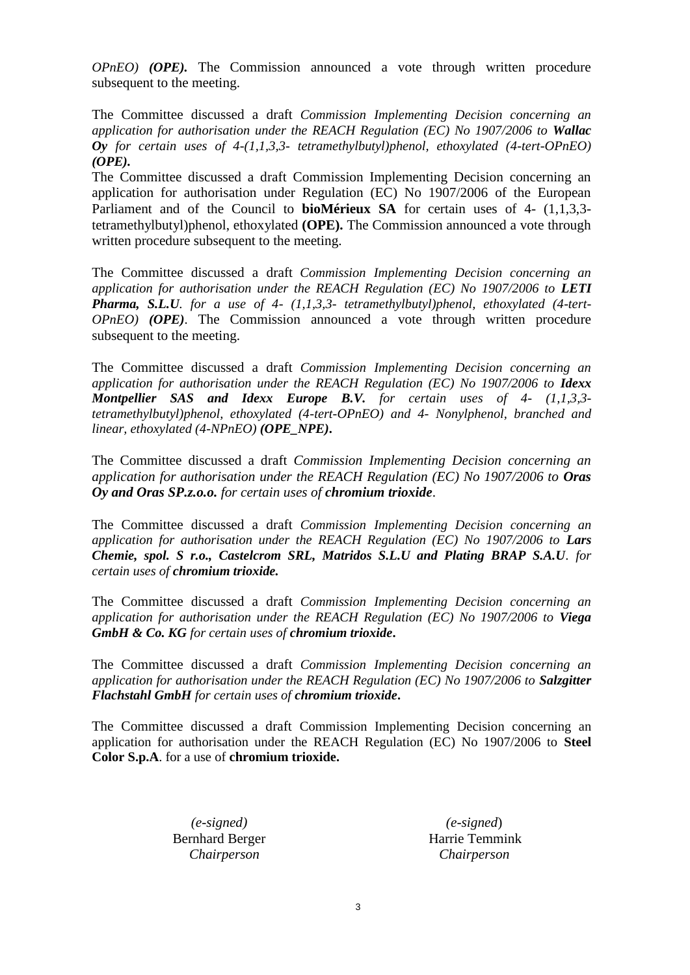*OPnEO) (OPE).* The Commission announced a vote through written procedure subsequent to the meeting.

The Committee discussed a draft *Commission Implementing Decision concerning an application for authorisation under the REACH Regulation (EC) No 1907/2006 to Wallac Oy for certain uses of 4-(1,1,3,3- tetramethylbutyl)phenol, ethoxylated (4-tert-OPnEO) (OPE).* 

The Committee discussed a draft Commission Implementing Decision concerning an application for authorisation under Regulation (EC) No 1907/2006 of the European Parliament and of the Council to **bioMérieux SA** for certain uses of 4- (1,1,3,3 tetramethylbutyl)phenol, ethoxylated **(OPE).** The Commission announced a vote through written procedure subsequent to the meeting.

The Committee discussed a draft *Commission Implementing Decision concerning an application for authorisation under the REACH Regulation (EC) No 1907/2006 to LETI Pharma, S.L.U. for a use of 4- (1,1,3,3- tetramethylbutyl)phenol, ethoxylated (4-tert-OPnEO) (OPE)*. The Commission announced a vote through written procedure subsequent to the meeting.

The Committee discussed a draft *Commission Implementing Decision concerning an application for authorisation under the REACH Regulation (EC) No 1907/2006 to Idexx Montpellier SAS and Idexx Europe B.V. for certain uses of 4- (1,1,3,3 tetramethylbutyl)phenol, ethoxylated (4-tert-OPnEO) and 4- Nonylphenol, branched and linear, ethoxylated (4-NPnEO) (OPE\_NPE)***.** 

The Committee discussed a draft *Commission Implementing Decision concerning an application for authorisation under the REACH Regulation (EC) No 1907/2006 to Oras Oy and Oras SP.z.o.o. for certain uses of chromium trioxide*.

The Committee discussed a draft *Commission Implementing Decision concerning an application for authorisation under the REACH Regulation (EC) No 1907/2006 to Lars Chemie, spol. S r.o., Castelcrom SRL, Matridos S.L.U and Plating BRAP S.A.U. for certain uses of chromium trioxide.* 

The Committee discussed a draft *Commission Implementing Decision concerning an application for authorisation under the REACH Regulation (EC) No 1907/2006 to Viega GmbH & Co. KG for certain uses of chromium trioxide***.**

The Committee discussed a draft *Commission Implementing Decision concerning an application for authorisation under the REACH Regulation (EC) No 1907/2006 to Salzgitter Flachstahl GmbH for certain uses of chromium trioxide***.** 

The Committee discussed a draft Commission Implementing Decision concerning an application for authorisation under the REACH Regulation (EC) No 1907/2006 to **Steel Color S.p.A**. for a use of **chromium trioxide.** 

> *(e-signed)* Bernhard Berger *Chairperson*

 *(e-signed*) Harrie Temmink  *Chairperson*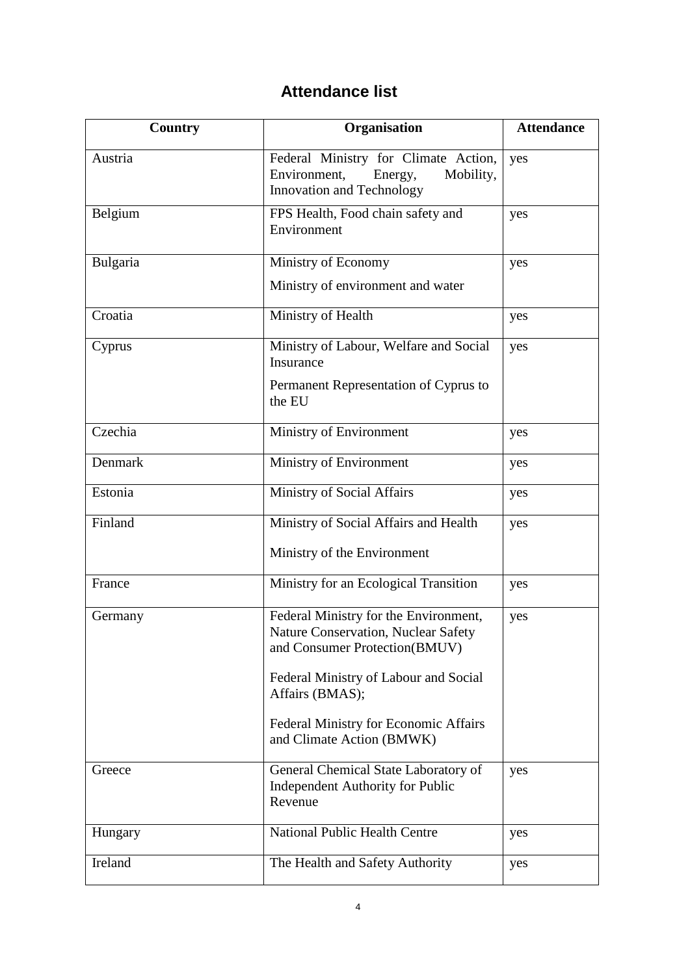## **Attendance list**

| Country  | Organisation                                                                                                         | <b>Attendance</b> |
|----------|----------------------------------------------------------------------------------------------------------------------|-------------------|
| Austria  | Federal Ministry for Climate Action,<br>Environment,<br>Energy,<br>Mobility,<br>Innovation and Technology            | yes               |
| Belgium  | FPS Health, Food chain safety and<br>Environment                                                                     | yes               |
| Bulgaria | Ministry of Economy                                                                                                  | yes               |
|          | Ministry of environment and water                                                                                    |                   |
| Croatia  | Ministry of Health                                                                                                   | yes               |
| Cyprus   | Ministry of Labour, Welfare and Social<br>Insurance                                                                  | yes               |
|          | Permanent Representation of Cyprus to<br>the EU                                                                      |                   |
| Czechia  | Ministry of Environment                                                                                              | yes               |
| Denmark  | Ministry of Environment                                                                                              | yes               |
| Estonia  | <b>Ministry of Social Affairs</b>                                                                                    | yes               |
| Finland  | Ministry of Social Affairs and Health                                                                                | yes               |
|          | Ministry of the Environment                                                                                          |                   |
| France   | Ministry for an Ecological Transition                                                                                | yes               |
| Germany  | Federal Ministry for the Environment,<br><b>Nature Conservation, Nuclear Safety</b><br>and Consumer Protection(BMUV) | yes               |
|          | Federal Ministry of Labour and Social<br>Affairs (BMAS);                                                             |                   |
|          | <b>Federal Ministry for Economic Affairs</b><br>and Climate Action (BMWK)                                            |                   |
| Greece   | General Chemical State Laboratory of<br>Independent Authority for Public<br>Revenue                                  | yes               |
| Hungary  | <b>National Public Health Centre</b>                                                                                 | yes               |
| Ireland  | The Health and Safety Authority                                                                                      | yes               |